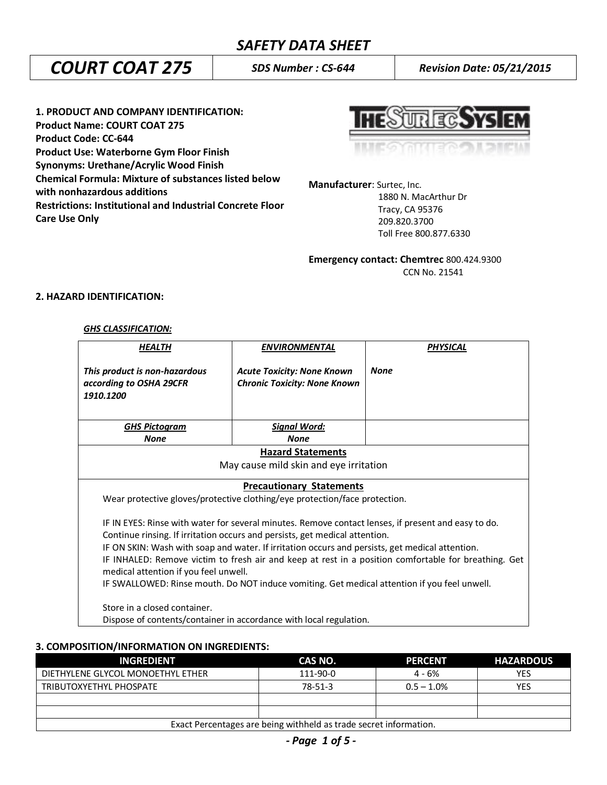# *COURT COAT 275 SDS Number : CS-644 Revision Date: 05/21/2015*

**1. PRODUCT AND COMPANY IDENTIFICATION: Product Name: COURT COAT 275 Product Code: CC-644 Product Use: Waterborne Gym Floor Finish Synonyms: Urethane/Acrylic Wood Finish Chemical Formula: Mixture of substances listed below with nonhazardous additions Restrictions: Institutional and Industrial Concrete Floor Care Use Only**

REC.

**Manufacturer**: Surtec, Inc.

 1880 N. MacArthur Dr Tracy, CA 95376 209.820.3700 Toll Free 800.877.6330

**Emergency contact: Chemtrec** 800.424.9300 CCN No. 21541

## **2. HAZARD IDENTIFICATION:**

#### *GHS CLASSIFICATION:*

| <b>HEALTH</b>                                                                                                                                                                                                                                                                                                                                                                                                                                                                                                                          | <b>ENVIRONMENTAL</b>                                                     | <b>PHYSICAL</b> |  |
|----------------------------------------------------------------------------------------------------------------------------------------------------------------------------------------------------------------------------------------------------------------------------------------------------------------------------------------------------------------------------------------------------------------------------------------------------------------------------------------------------------------------------------------|--------------------------------------------------------------------------|-----------------|--|
| This product is non-hazardous<br>according to OSHA 29CFR<br>1910.1200                                                                                                                                                                                                                                                                                                                                                                                                                                                                  | <b>Acute Toxicity: None Known</b><br><b>Chronic Toxicity: None Known</b> | <b>None</b>     |  |
| <b>GHS Pictogram</b>                                                                                                                                                                                                                                                                                                                                                                                                                                                                                                                   | <b>Signal Word:</b>                                                      |                 |  |
| <b>None</b>                                                                                                                                                                                                                                                                                                                                                                                                                                                                                                                            | <b>None</b>                                                              |                 |  |
| <b>Hazard Statements</b><br>May cause mild skin and eye irritation                                                                                                                                                                                                                                                                                                                                                                                                                                                                     |                                                                          |                 |  |
| <b>Precautionary Statements</b><br>Wear protective gloves/protective clothing/eye protection/face protection.                                                                                                                                                                                                                                                                                                                                                                                                                          |                                                                          |                 |  |
| IF IN EYES: Rinse with water for several minutes. Remove contact lenses, if present and easy to do.<br>Continue rinsing. If irritation occurs and persists, get medical attention.<br>IF ON SKIN: Wash with soap and water. If irritation occurs and persists, get medical attention.<br>IF INHALED: Remove victim to fresh air and keep at rest in a position comfortable for breathing. Get<br>medical attention if you feel unwell.<br>IF SWALLOWED: Rinse mouth. Do NOT induce vomiting. Get medical attention if you feel unwell. |                                                                          |                 |  |
| Store in a closed container.<br>Dispose of contents/container in accordance with local regulation.                                                                                                                                                                                                                                                                                                                                                                                                                                     |                                                                          |                 |  |

## **3. COMPOSITION/INFORMATION ON INGREDIENTS:**

| <b>INGREDIENT</b>                                                 | CAS NO.       | <b>PERCENT</b> | <b>HAZARDOUS</b> |
|-------------------------------------------------------------------|---------------|----------------|------------------|
| DIETHYLENE GLYCOL MONOETHYL ETHER                                 | 111-90-0      | 4 - 6%         | YES              |
| TRIBUTOXYETHYL PHOSPATE                                           | $78 - 51 - 3$ | $0.5 - 1.0\%$  | <b>YES</b>       |
|                                                                   |               |                |                  |
|                                                                   |               |                |                  |
| Exact Percentages are being withheld as trade secret information. |               |                |                  |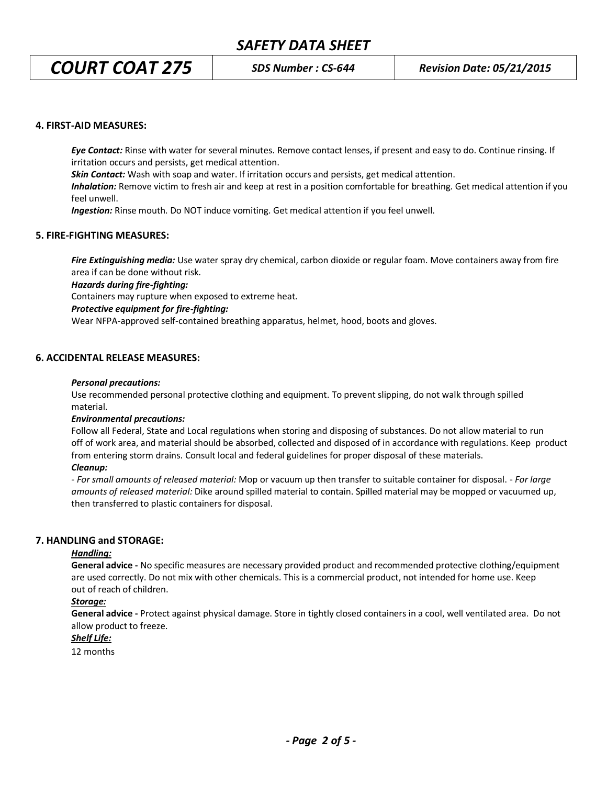*COURT COAT 275 SDS Number : CS-644 Revision Date: 05/21/2015*

#### **4. FIRST-AID MEASURES:**

*Eye Contact:* Rinse with water for several minutes. Remove contact lenses, if present and easy to do. Continue rinsing. If irritation occurs and persists, get medical attention.

*Skin Contact:* Wash with soap and water. If irritation occurs and persists, get medical attention.

*Inhalation:* Remove victim to fresh air and keep at rest in a position comfortable for breathing. Get medical attention if you feel unwell.

*Ingestion:* Rinse mouth. Do NOT induce vomiting. Get medical attention if you feel unwell.

#### **5. FIRE-FIGHTING MEASURES:**

*Fire Extinguishing media:* Use water spray dry chemical, carbon dioxide or regular foam. Move containers away from fire area if can be done without risk.

*Hazards during fire-fighting:*

Containers may rupture when exposed to extreme heat.

#### *Protective equipment for fire-fighting:*

Wear NFPA-approved self-contained breathing apparatus, helmet, hood, boots and gloves.

#### **6. ACCIDENTAL RELEASE MEASURES:**

#### *Personal precautions:*

Use recommended personal protective clothing and equipment. To prevent slipping, do not walk through spilled material.

#### *Environmental precautions:*

Follow all Federal, State and Local regulations when storing and disposing of substances. Do not allow material to run off of work area, and material should be absorbed, collected and disposed of in accordance with regulations. Keep product from entering storm drains. Consult local and federal guidelines for proper disposal of these materials.

#### *Cleanup:*

*- For small amounts of released material:* Mop or vacuum up then transfer to suitable container for disposal. - *For large amounts of released material:* Dike around spilled material to contain. Spilled material may be mopped or vacuumed up, then transferred to plastic containers for disposal.

#### **7. HANDLING and STORAGE:**

#### *Handling:*

**General advice -** No specific measures are necessary provided product and recommended protective clothing/equipment are used correctly. Do not mix with other chemicals. This is a commercial product, not intended for home use. Keep out of reach of children.

#### *Storage:*

**General advice -** Protect against physical damage. Store in tightly closed containers in a cool, well ventilated area. Do not allow product to freeze.

## *Shelf Life:*

12 months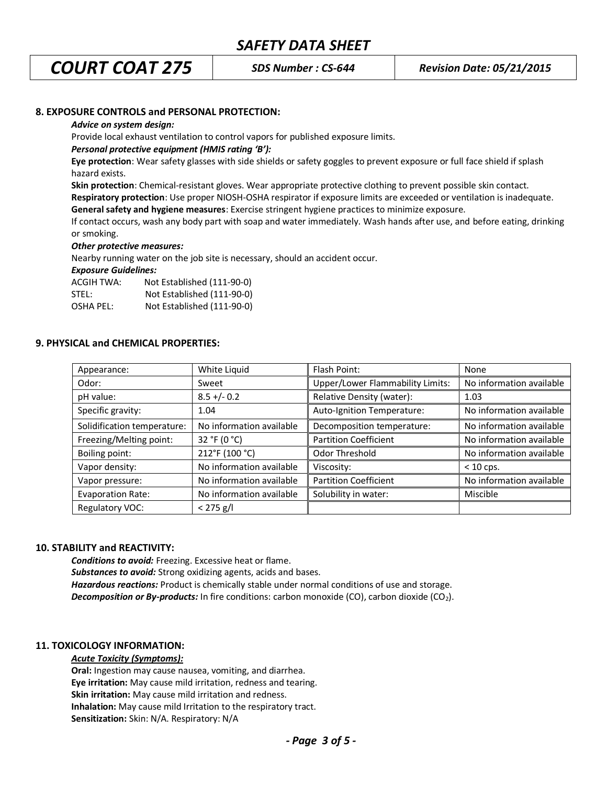*COURT COAT 275 SDS Number : CS-644 Revision Date: 05/21/2015*

## **8. EXPOSURE CONTROLS and PERSONAL PROTECTION:**

#### *Advice on system design:*

Provide local exhaust ventilation to control vapors for published exposure limits.

#### *Personal protective equipment (HMIS rating 'B'):*

**Eye protection**: Wear safety glasses with side shields or safety goggles to prevent exposure or full face shield if splash hazard exists.

**Skin protection**: Chemical-resistant gloves. Wear appropriate protective clothing to prevent possible skin contact.

**Respiratory protection**: Use proper NIOSH-OSHA respirator if exposure limits are exceeded or ventilation is inadequate.

**General safety and hygiene measures**: Exercise stringent hygiene practices to minimize exposure.

If contact occurs, wash any body part with soap and water immediately. Wash hands after use, and before eating, drinking or smoking.

#### *Other protective measures:*

Nearby running water on the job site is necessary, should an accident occur.

*Exposure Guidelines:*

| ACGIH TWA: | Not Established (111-90-0) |
|------------|----------------------------|
| STEL:      | Not Established (111-90-0) |
| OSHA PEL:  | Not Established (111-90-0) |

#### **9. PHYSICAL and CHEMICAL PROPERTIES:**

| Appearance:                 | White Liquid             | Flash Point:                            | None                     |
|-----------------------------|--------------------------|-----------------------------------------|--------------------------|
| Odor:                       | Sweet                    | <b>Upper/Lower Flammability Limits:</b> | No information available |
| pH value:                   | $8.5 + (-0.2)$           | Relative Density (water):               | 1.03                     |
| Specific gravity:           | 1.04                     | Auto-Ignition Temperature:              | No information available |
| Solidification temperature: | No information available | Decomposition temperature:              | No information available |
| Freezing/Melting point:     | 32 °F (0 °C)             | <b>Partition Coefficient</b>            | No information available |
| Boiling point:              | 212°F (100 °C)           | Odor Threshold                          | No information available |
| Vapor density:              | No information available | Viscosity:                              | $< 10$ cps.              |
| Vapor pressure:             | No information available | <b>Partition Coefficient</b>            | No information available |
| <b>Evaporation Rate:</b>    | No information available | Solubility in water:                    | Miscible                 |
| Regulatory VOC:             | $< 275$ g/l              |                                         |                          |

#### **10. STABILITY and REACTIVITY:**

*Conditions to avoid:* Freezing. Excessive heat or flame. *Substances to avoid:* Strong oxidizing agents, acids and bases. *Hazardous reactions:* Product is chemically stable under normal conditions of use and storage. **Decomposition or By-products:** In fire conditions: carbon monoxide (CO), carbon dioxide (CO<sub>2</sub>).

## **11. TOXICOLOGY INFORMATION:**

#### *Acute Toxicity (Symptoms):*

**Oral:** Ingestion may cause nausea, vomiting, and diarrhea. **Eye irritation:** May cause mild irritation, redness and tearing. **Skin irritation:** May cause mild irritation and redness. **Inhalation:** May cause mild Irritation to the respiratory tract. **Sensitization:** Skin: N/A. Respiratory: N/A

*- Page 3 of 5 -*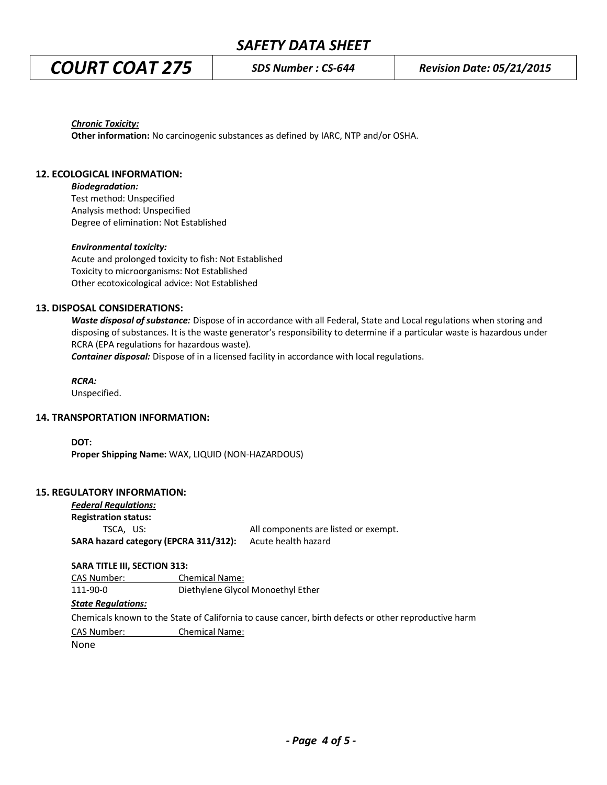*COURT COAT 275 SDS Number : CS-644 Revision Date: 05/21/2015*

*Chronic Toxicity:*

**Other information:** No carcinogenic substances as defined by IARC, NTP and/or OSHA.

## **12. ECOLOGICAL INFORMATION:**

*Biodegradation:*

Test method: Unspecified Analysis method: Unspecified Degree of elimination: Not Established

#### *Environmental toxicity:*

Acute and prolonged toxicity to fish: Not Established Toxicity to microorganisms: Not Established Other ecotoxicological advice: Not Established

## **13. DISPOSAL CONSIDERATIONS:**

*Waste disposal of substance:* Dispose of in accordance with all Federal, State and Local regulations when storing and disposing of substances. It is the waste generator's responsibility to determine if a particular waste is hazardous under RCRA (EPA regulations for hazardous waste).

*Container disposal:* Dispose of in a licensed facility in accordance with local regulations.

*RCRA:*

Unspecified.

## **14. TRANSPORTATION INFORMATION:**

**DOT: Proper Shipping Name:** WAX, LIQUID (NON-HAZARDOUS)

## **15. REGULATORY INFORMATION:**

| <b>Federal Regulations:</b>           |                                      |
|---------------------------------------|--------------------------------------|
| <b>Registration status:</b>           |                                      |
| TSCA. US:                             | All components are listed or exempt. |
| SARA hazard category (EPCRA 311/312): | Acute health hazard                  |

#### **SARA TITLE III, SECTION 313:**

CAS Number: Chemical Name: 111-90-0 Diethylene Glycol Monoethyl Ether

## *State Regulations:*

Chemicals known to the State of California to cause cancer, birth defects or other reproductive harm CAS Number: Chemical Name:

None